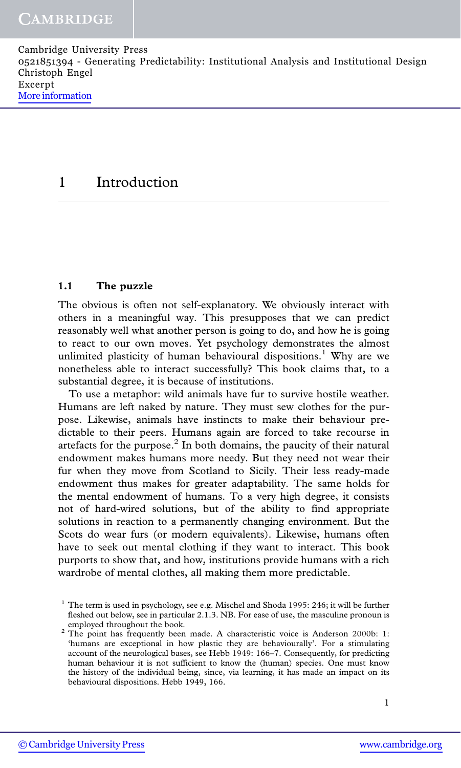# 1 Introduction

# 1.1 The puzzle

The obvious is often not self-explanatory. We obviously interact with others in a meaningful way. This presupposes that we can predict reasonably well what another person is going to do, and how he is going to react to our own moves. Yet psychology demonstrates the almost unlimited plasticity of human behavioural dispositions.<sup>1</sup> Why are we nonetheless able to interact successfully? This book claims that, to a substantial degree, it is because of institutions.

To use a metaphor: wild animals have fur to survive hostile weather. Humans are left naked by nature. They must sew clothes for the purpose. Likewise, animals have instincts to make their behaviour predictable to their peers. Humans again are forced to take recourse in artefacts for the purpose. $<sup>2</sup>$  In both domains, the paucity of their natural</sup> endowment makes humans more needy. But they need not wear their fur when they move from Scotland to Sicily. Their less ready-made endowment thus makes for greater adaptability. The same holds for the mental endowment of humans. To a very high degree, it consists not of hard-wired solutions, but of the ability to find appropriate solutions in reaction to a permanently changing environment. But the Scots do wear furs (or modern equivalents). Likewise, humans often have to seek out mental clothing if they want to interact. This book purports to show that, and how, institutions provide humans with a rich wardrobe of mental clothes, all making them more predictable.

<sup>&</sup>lt;sup>1</sup> The term is used in psychology, see e.g. Mischel and Shoda 1995: 246; it will be further fleshed out below, see in particular 2.1.3. NB. For ease of use, the masculine pronoun is

employed throughout the book.<br><sup>2</sup> The point has frequently been made. A characteristic voice is Anderson 2000b: 1: 'humans are exceptional in how plastic they are behaviourally'. For a stimulating account of the neurological bases, see Hebb 1949: 166–7. Consequently, for predicting human behaviour it is not sufficient to know the (human) species. One must know the history of the individual being, since, via learning, it has made an impact on its behavioural dispositions. Hebb 1949, 166.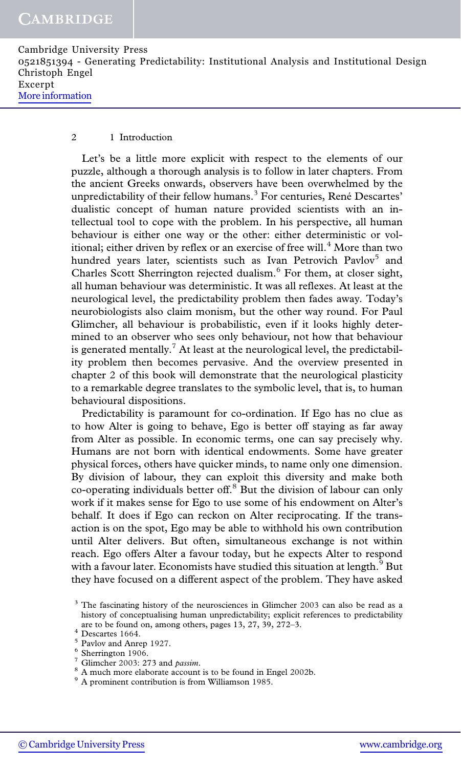# 2 1 Introduction

Let's be a little more explicit with respect to the elements of our puzzle, although a thorough analysis is to follow in later chapters. From the ancient Greeks onwards, observers have been overwhelmed by the unpredictability of their fellow humans.<sup>3</sup> For centuries, René Descartes' dualistic concept of human nature provided scientists with an intellectual tool to cope with the problem. In his perspective, all human behaviour is either one way or the other: either deterministic or volitional; either driven by reflex or an exercise of free will. $4$  More than two hundred years later, scientists such as Ivan Petrovich Pavlov<sup>5</sup> and Charles Scott Sherrington rejected dualism.<sup>6</sup> For them, at closer sight, all human behaviour was deterministic. It was all reflexes. At least at the neurological level, the predictability problem then fades away. Today's neurobiologists also claim monism, but the other way round. For Paul Glimcher, all behaviour is probabilistic, even if it looks highly determined to an observer who sees only behaviour, not how that behaviour is generated mentally.<sup>7</sup> At least at the neurological level, the predictability problem then becomes pervasive. And the overview presented in chapter 2 of this book will demonstrate that the neurological plasticity to a remarkable degree translates to the symbolic level, that is, to human behavioural dispositions.

Predictability is paramount for co-ordination. If Ego has no clue as to how Alter is going to behave, Ego is better off staying as far away from Alter as possible. In economic terms, one can say precisely why. Humans are not born with identical endowments. Some have greater physical forces, others have quicker minds, to name only one dimension. By division of labour, they can exploit this diversity and make both co-operating individuals better off.<sup>8</sup> But the division of labour can only work if it makes sense for Ego to use some of his endowment on Alter's behalf. It does if Ego can reckon on Alter reciprocating. If the transaction is on the spot, Ego may be able to withhold his own contribution until Alter delivers. But often, simultaneous exchange is not within reach. Ego offers Alter a favour today, but he expects Alter to respond with a favour later. Economists have studied this situation at length.<sup>9</sup> But they have focused on a different aspect of the problem. They have asked

 $3$  The fascinating history of the neurosciences in Glimcher 2003 can also be read as a history of conceptualising human unpredictability; explicit references to predictability

are to be found on, among others, pages 13, 27, 39, 272–3.<br>
<sup>5</sup> Pavlov and Anrep 1927.<br>
<sup>6</sup> Sherrington 1906.<br>
<sup>6</sup> Where 1927.<br>
<sup>6</sup> Sherrington 1906.<br>
<sup>7</sup> Glimcher 2003: 273 and *passim*.<br>
<sup>8</sup> A much more elaborate accoun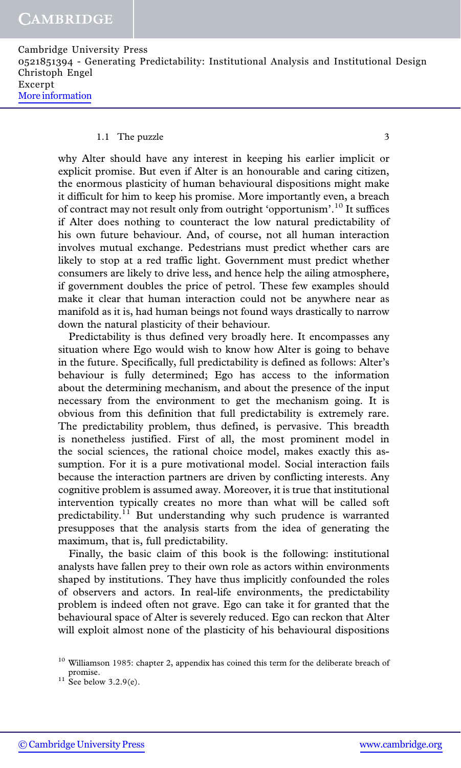#### 1.1 The puzzle 3

why Alter should have any interest in keeping his earlier implicit or explicit promise. But even if Alter is an honourable and caring citizen, the enormous plasticity of human behavioural dispositions might make it difficult for him to keep his promise. More importantly even, a breach of contract may not result only from outright 'opportunism'.<sup>10</sup> It suffices if Alter does nothing to counteract the low natural predictability of his own future behaviour. And, of course, not all human interaction involves mutual exchange. Pedestrians must predict whether cars are likely to stop at a red traffic light. Government must predict whether consumers are likely to drive less, and hence help the ailing atmosphere, if government doubles the price of petrol. These few examples should make it clear that human interaction could not be anywhere near as manifold as it is, had human beings not found ways drastically to narrow down the natural plasticity of their behaviour.

Predictability is thus defined very broadly here. It encompasses any situation where Ego would wish to know how Alter is going to behave in the future. Specifically, full predictability is defined as follows: Alter's behaviour is fully determined; Ego has access to the information about the determining mechanism, and about the presence of the input necessary from the environment to get the mechanism going. It is obvious from this definition that full predictability is extremely rare. The predictability problem, thus defined, is pervasive. This breadth is nonetheless justified. First of all, the most prominent model in the social sciences, the rational choice model, makes exactly this assumption. For it is a pure motivational model. Social interaction fails because the interaction partners are driven by conflicting interests. Any cognitive problem is assumed away. Moreover, it is true that institutional intervention typically creates no more than what will be called soft predictability.<sup>11</sup> But understanding why such prudence is warranted presupposes that the analysis starts from the idea of generating the maximum, that is, full predictability.

Finally, the basic claim of this book is the following: institutional analysts have fallen prey to their own role as actors within environments shaped by institutions. They have thus implicitly confounded the roles of observers and actors. In real-life environments, the predictability problem is indeed often not grave. Ego can take it for granted that the behavioural space of Alter is severely reduced. Ego can reckon that Alter will exploit almost none of the plasticity of his behavioural dispositions

<sup>&</sup>lt;sup>10</sup> Williamson 1985: chapter 2, appendix has coined this term for the deliberate breach of promise.<br> $11 \text{ See below } 3.2.9(e).$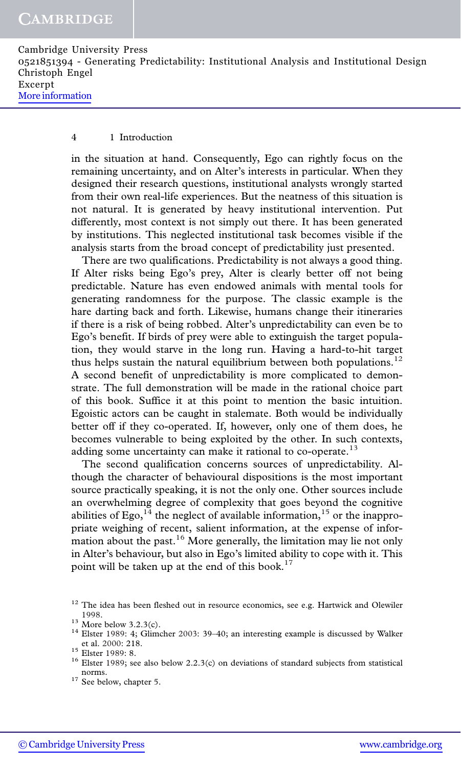## 4 1 Introduction

in the situation at hand. Consequently, Ego can rightly focus on the remaining uncertainty, and on Alter's interests in particular. When they designed their research questions, institutional analysts wrongly started from their own real-life experiences. But the neatness of this situation is not natural. It is generated by heavy institutional intervention. Put differently, most context is not simply out there. It has been generated by institutions. This neglected institutional task becomes visible if the analysis starts from the broad concept of predictability just presented.

There are two qualifications. Predictability is not always a good thing. If Alter risks being Ego's prey, Alter is clearly better off not being predictable. Nature has even endowed animals with mental tools for generating randomness for the purpose. The classic example is the hare darting back and forth. Likewise, humans change their itineraries if there is a risk of being robbed. Alter's unpredictability can even be to Ego's benefit. If birds of prey were able to extinguish the target population, they would starve in the long run. Having a hard-to-hit target thus helps sustain the natural equilibrium between both populations.<sup>12</sup> A second benefit of unpredictability is more complicated to demonstrate. The full demonstration will be made in the rational choice part of this book. Suffice it at this point to mention the basic intuition. Egoistic actors can be caught in stalemate. Both would be individually better off if they co-operated. If, however, only one of them does, he becomes vulnerable to being exploited by the other. In such contexts, adding some uncertainty can make it rational to co-operate.<sup>13</sup>

The second qualification concerns sources of unpredictability. Although the character of behavioural dispositions is the most important source practically speaking, it is not the only one. Other sources include an overwhelming degree of complexity that goes beyond the cognitive abilities of Ego,<sup>14</sup> the neglect of available information,<sup>15</sup> or the inappropriate weighing of recent, salient information, at the expense of information about the past.<sup>16</sup> More generally, the limitation may lie not only in Alter's behaviour, but also in Ego's limited ability to cope with it. This point will be taken up at the end of this book.<sup>17</sup>

<sup>&</sup>lt;sup>12</sup> The idea has been fleshed out in resource economics, see e.g. Hartwick and Olewiler 1998.<br><sup>13</sup> More below 3.2.3(c).<br><sup>14</sup> Elster 1989: 4; Glimcher 2003: 39–40; an interesting example is discussed by Walker

et al. 2000: 218.<br><sup>15</sup> Elster 1989: 8.<br><sup>16</sup> Elster 1989; see also below 2.2.3(c) on deviations of standard subjects from statistical

norms.<br><sup>17</sup> See below, chapter 5.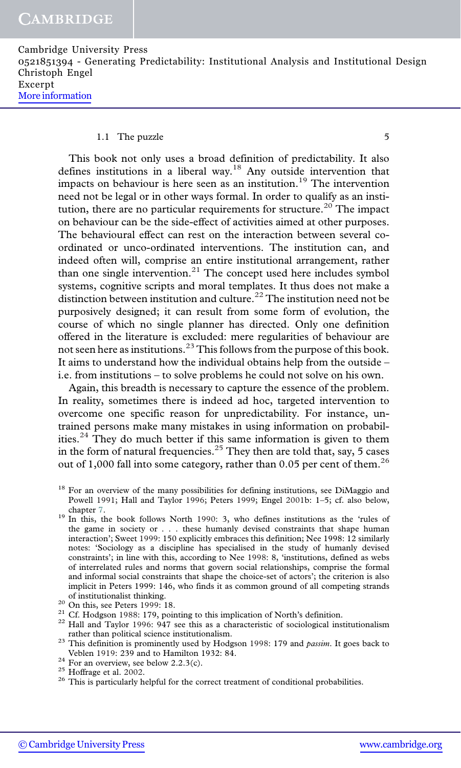#### 1.1 The puzzle 5

This book not only uses a broad definition of predictability. It also defines institutions in a liberal way.<sup>18</sup> Any outside intervention that impacts on behaviour is here seen as an institution.<sup>19</sup> The intervention need not be legal or in other ways formal. In order to qualify as an institution, there are no particular requirements for structure.<sup>20</sup> The impact on behaviour can be the side-effect of activities aimed at other purposes. The behavioural effect can rest on the interaction between several coordinated or unco-ordinated interventions. The institution can, and indeed often will, comprise an entire institutional arrangement, rather than one single intervention. $21$  The concept used here includes symbol systems, cognitive scripts and moral templates. It thus does not make a distinction between institution and culture.<sup>22</sup> The institution need not be purposively designed; it can result from some form of evolution, the course of which no single planner has directed. Only one definition offered in the literature is excluded: mere regularities of behaviour are not seen here as institutions.<sup>23</sup> This follows from the purpose of this book. It aims to understand how the individual obtains help from the outside – i.e. from institutions – to solve problems he could not solve on his own.

Again, this breadth is necessary to capture the essence of the problem. In reality, sometimes there is indeed ad hoc, targeted intervention to overcome one specific reason for unpredictability. For instance, untrained persons make many mistakes in using information on probabilities.<sup>24</sup> They do much better if this same information is given to them in the form of natural frequencies.<sup>25</sup> They then are told that, say, 5 cases out of 1,000 fall into some category, rather than 0.05 per cent of them.<sup>26</sup>

- rather than political science institutionalism.<br><sup>23</sup> This definition is prominently used by Hodgson 1998: 179 and *passim*. It goes back to Veblen 1919: 239 and to Hamilton 1932: 84.<br><sup>24</sup> For an overview, see below 2.2.3(c).<br><sup>25</sup> Hoffrage et al. 2002.<br><sup>26</sup> This is particularly helpful for the correct treatment of conditional probabilities.
- 
- 

<sup>&</sup>lt;sup>18</sup> For an overview of the many possibilities for defining institutions, see DiMaggio and Powell 1991; Hall and Taylor 1996; Peters 1999; Engel 2001b: 1–5; cf. also below,

<sup>&</sup>lt;sup>19</sup> In this, the book follows North 1990: 3, who defines institutions as the 'rules of the game in society or . . . these humanly devised constraints that shape human interaction'; Sweet 1999: 150 explicitly embraces this definition; Nee 1998: 12 similarly notes: 'Sociology as a discipline has specialised in the study of humanly devised constraints'; in line with this, according to Nee 1998: 8, 'institutions, defined as webs of interrelated rules and norms that govern social relationships, comprise the formal and informal social constraints that shape the choice-set of actors'; the criterion is also implicit in Peters 1999: 146, who finds it as common ground of all competing strands

<sup>%</sup> of institutionalist thinking.<br>
<sup>20</sup> On this, see Peters 1999: 18.<br>
<sup>21</sup> Cf. Hodgson 1988: 179, pointing to this implication of North's definition.<br>
<sup>22</sup> Hall and Taylor 1996: 947 see this as a characteristic of sociolog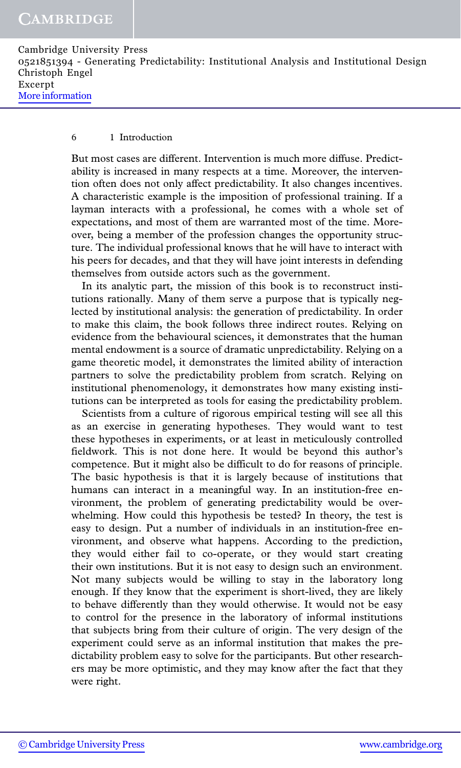### 6 1 Introduction

But most cases are different. Intervention is much more diffuse. Predictability is increased in many respects at a time. Moreover, the intervention often does not only affect predictability. It also changes incentives. A characteristic example is the imposition of professional training. If a layman interacts with a professional, he comes with a whole set of expectations, and most of them are warranted most of the time. Moreover, being a member of the profession changes the opportunity structure. The individual professional knows that he will have to interact with his peers for decades, and that they will have joint interests in defending themselves from outside actors such as the government.

In its analytic part, the mission of this book is to reconstruct institutions rationally. Many of them serve a purpose that is typically neglected by institutional analysis: the generation of predictability. In order to make this claim, the book follows three indirect routes. Relying on evidence from the behavioural sciences, it demonstrates that the human mental endowment is a source of dramatic unpredictability. Relying on a game theoretic model, it demonstrates the limited ability of interaction partners to solve the predictability problem from scratch. Relying on institutional phenomenology, it demonstrates how many existing institutions can be interpreted as tools for easing the predictability problem.

Scientists from a culture of rigorous empirical testing will see all this as an exercise in generating hypotheses. They would want to test these hypotheses in experiments, or at least in meticulously controlled fieldwork. This is not done here. It would be beyond this author's competence. But it might also be difficult to do for reasons of principle. The basic hypothesis is that it is largely because of institutions that humans can interact in a meaningful way. In an institution-free environment, the problem of generating predictability would be overwhelming. How could this hypothesis be tested? In theory, the test is easy to design. Put a number of individuals in an institution-free environment, and observe what happens. According to the prediction, they would either fail to co-operate, or they would start creating their own institutions. But it is not easy to design such an environment. Not many subjects would be willing to stay in the laboratory long enough. If they know that the experiment is short-lived, they are likely to behave differently than they would otherwise. It would not be easy to control for the presence in the laboratory of informal institutions that subjects bring from their culture of origin. The very design of the experiment could serve as an informal institution that makes the predictability problem easy to solve for the participants. But other researchers may be more optimistic, and they may know after the fact that they were right.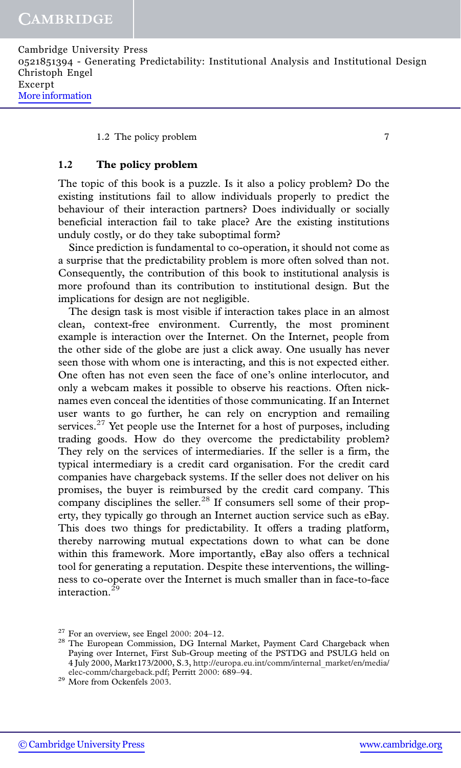1.2 The policy problem 7

## 1.2 The policy problem

The topic of this book is a puzzle. Is it also a policy problem? Do the existing institutions fail to allow individuals properly to predict the behaviour of their interaction partners? Does individually or socially beneficial interaction fail to take place? Are the existing institutions unduly costly, or do they take suboptimal form?

Since prediction is fundamental to co-operation, it should not come as a surprise that the predictability problem is more often solved than not. Consequently, the contribution of this book to institutional analysis is more profound than its contribution to institutional design. But the implications for design are not negligible.

The design task is most visible if interaction takes place in an almost clean, context-free environment. Currently, the most prominent example is interaction over the Internet. On the Internet, people from the other side of the globe are just a click away. One usually has never seen those with whom one is interacting, and this is not expected either. One often has not even seen the face of one's online interlocutor, and only a webcam makes it possible to observe his reactions. Often nicknames even conceal the identities of those communicating. If an Internet user wants to go further, he can rely on encryption and remailing services. $27$  Yet people use the Internet for a host of purposes, including trading goods. How do they overcome the predictability problem? They rely on the services of intermediaries. If the seller is a firm, the typical intermediary is a credit card organisation. For the credit card companies have chargeback systems. If the seller does not deliver on his promises, the buyer is reimbursed by the credit card company. This company disciplines the seller.<sup>28</sup> If consumers sell some of their property, they typically go through an Internet auction service such as eBay. This does two things for predictability. It offers a trading platform, thereby narrowing mutual expectations down to what can be done within this framework. More importantly, eBay also offers a technical tool for generating a reputation. Despite these interventions, the willingness to co-operate over the Internet is much smaller than in face-to-face interaction.<sup>29</sup>

<sup>&</sup>lt;sup>27</sup> For an overview, see Engel 2000: 204–12.<br><sup>28</sup> The European Commission, DG Internal Market, Payment Card Chargeback when Paying over Internet, First Sub-Group meeting of the PSTDG and PSULG held on 4 July 2000, Markt173/2000, S.3, http://europa.eu.int/comm/internal\_market/en/media/ elec-comm/chargeback.pdf; Perritt 2000: 689–94. <sup>29</sup> More from Ockenfels 2003.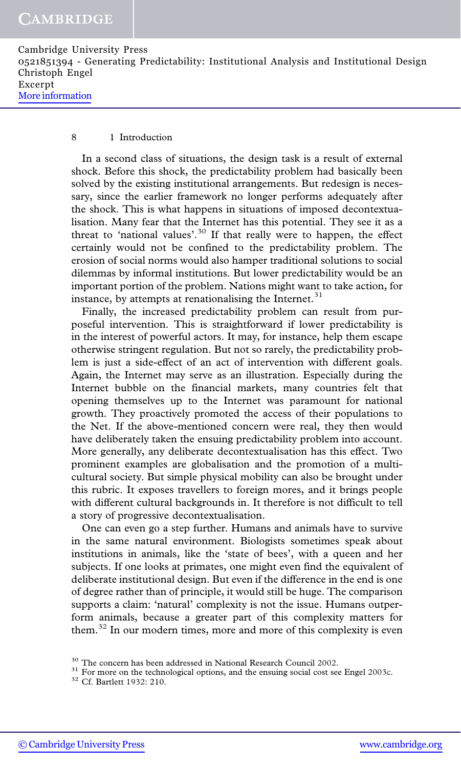### 8 1 Introduction

In a second class of situations, the design task is a result of external shock. Before this shock, the predictability problem had basically been solved by the existing institutional arrangements. But redesign is necessary, since the earlier framework no longer performs adequately after the shock. This is what happens in situations of imposed decontextualisation. Many fear that the Internet has this potential. They see it as a threat to 'national values'.<sup>30</sup> If that really were to happen, the effect certainly would not be confined to the predictability problem. The erosion of social norms would also hamper traditional solutions to social dilemmas by informal institutions. But lower predictability would be an important portion of the problem. Nations might want to take action, for instance, by attempts at renationalising the Internet. $31$ 

Finally, the increased predictability problem can result from purposeful intervention. This is straightforward if lower predictability is in the interest of powerful actors. It may, for instance, help them escape otherwise stringent regulation. But not so rarely, the predictability problem is just a side-effect of an act of intervention with different goals. Again, the Internet may serve as an illustration. Especially during the Internet bubble on the financial markets, many countries felt that opening themselves up to the Internet was paramount for national growth. They proactively promoted the access of their populations to the Net. If the above-mentioned concern were real, they then would have deliberately taken the ensuing predictability problem into account. More generally, any deliberate decontextualisation has this effect. Two prominent examples are globalisation and the promotion of a multicultural society. But simple physical mobility can also be brought under this rubric. It exposes travellers to foreign mores, and it brings people with different cultural backgrounds in. It therefore is not difficult to tell a story of progressive decontextualisation.

One can even go a step further. Humans and animals have to survive in the same natural environment. Biologists sometimes speak about institutions in animals, like the 'state of bees', with a queen and her subjects. If one looks at primates, one might even find the equivalent of deliberate institutional design. But even if the difference in the end is one of degree rather than of principle, it would still be huge. The comparison supports a claim: 'natural' complexity is not the issue. Humans outperform animals, because a greater part of this complexity matters for them.<sup>32</sup> In our modern times, more and more of this complexity is even

<sup>&</sup>lt;sup>30</sup> The concern has been addressed in National Research Council 2002.<br><sup>31</sup> For more on the technological options, and the ensuing social cost see Engel 2003c.<br><sup>32</sup> Cf. Bartlett 1932: 210.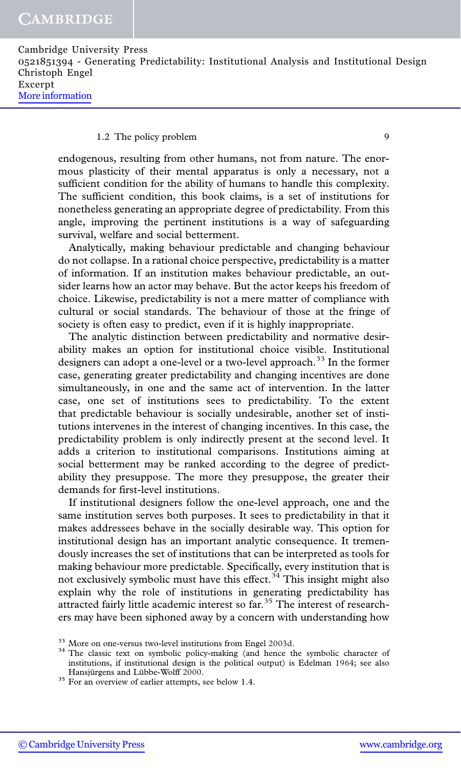## 1.2 The policy problem 9

endogenous, resulting from other humans, not from nature. The enormous plasticity of their mental apparatus is only a necessary, not a sufficient condition for the ability of humans to handle this complexity. The sufficient condition, this book claims, is a set of institutions for nonetheless generating an appropriate degree of predictability. From this angle, improving the pertinent institutions is a way of safeguarding survival, welfare and social betterment.

Analytically, making behaviour predictable and changing behaviour do not collapse. In a rational choice perspective, predictability is a matter of information. If an institution makes behaviour predictable, an outsider learns how an actor may behave. But the actor keeps his freedom of choice. Likewise, predictability is not a mere matter of compliance with cultural or social standards. The behaviour of those at the fringe of society is often easy to predict, even if it is highly inappropriate.

The analytic distinction between predictability and normative desirability makes an option for institutional choice visible. Institutional designers can adopt a one-level or a two-level approach.<sup>33</sup> In the former case, generating greater predictability and changing incentives are done simultaneously, in one and the same act of intervention. In the latter case, one set of institutions sees to predictability. To the extent that predictable behaviour is socially undesirable, another set of institutions intervenes in the interest of changing incentives. In this case, the predictability problem is only indirectly present at the second level. It adds a criterion to institutional comparisons. Institutions aiming at social betterment may be ranked according to the degree of predictability they presuppose. The more they presuppose, the greater their demands for first-level institutions.

If institutional designers follow the one-level approach, one and the same institution serves both purposes. It sees to predictability in that it makes addressees behave in the socially desirable way. This option for institutional design has an important analytic consequence. It tremendously increases the set of institutions that can be interpreted as tools for making behaviour more predictable. Specifically, every institution that is not exclusively symbolic must have this effect. $34$  This insight might also explain why the role of institutions in generating predictability has attracted fairly little academic interest so far.<sup>35</sup> The interest of researchers may have been siphoned away by a concern with understanding how

 $33$  More on one-versus two-level institutions from Engel 2003d.<br> $34$  The classic text on symbolic policy-making (and hence the symbolic character of institutions, if institutional design is the political output) is Edelman 1964; see also Hansjürgens and Lübbe-Wolff 2000.<br><sup>35</sup> For an overview of earlier attempts, see below 1.4.